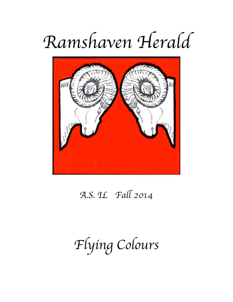# *Ramshaven Herald*



### *A.S. IL Fa*l *2014*

## *Flying Colours*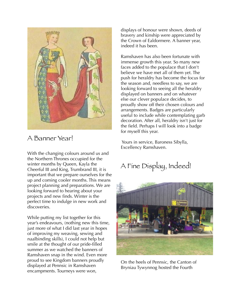

#### A Banner Year!

With the changing colours around us and the Northern Thrones occupied for the winter months by Queen, Kayla the Cheerful III and King, Trumbrand III, it is important that we prepare ourselves for the up and coming cooler months. This means project planning and preparations. We are looking forward to hearing about your projects and new finds. Winter is the perfect time to indulge in new work and discoveries.

While putting my list together for this year's endeavours, (nothing new this time, just more of what I did last year in hopes of improving my weaving, sewing and naalbinding skills), I could not help but smile at the thought of our pride-filled summer as we watched the banners of Ramshaven snap in the wind. Even more proud to see Kingdom banners proudly displayed at Pennsic in Ramshaven encampments. Tourneys were won,

displays of honour were shown, deeds of bravery and kinship were appreciated by the Crown of Ealdormere. A banner year, indeed it has been.

Ramshaven has also been fortunate with immense growth this year. So many new faces added to the populace that I don't believe we have met all of them yet. The push for heraldry has become the focus for the season and, needless to say, we are looking forward to seeing all the heraldry displayed on banners and on whatever else our clever populace decides, to proudly show off their chosen colours and arrangements. Badges are particularly useful to include while contemplating garb decoration. After all, heraldry isn't just for the field. Perhaps I will look into a badge for myself this year.

 Yours in service, Baroness Sibylla, Excellency Ramshaven.

### A Fine Display, Indeed!



On the heels of Pennsic, the Canton of Bryniau Tywynnog hosted the Fourth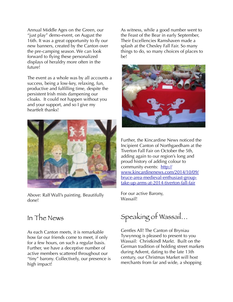Annual Middle Ages on the Green, our "just play" demo-event, on August the 16th. It was a great opportunity to fly our new banners, created by the Canton over the pre-camping season. We can look forward to flying these personalized displays of heraldry more often in the future!

The event as a whole was by all accounts a success, being a low-key, relaxing, fun, productive and fulfilling time, despite the persistent Irish mists dampening our cloaks. It could not happen without you and your support, and so I give my heartfelt thanks!



Above: Ralf Wall's painting. Beautifully done!

#### In The News

As each Canton meets, it is remarkable how far our friends come to meet, if only for a few hours, on such a regular basis. Further, we have a deceptive number of active members scattered throughout our "tiny" barony. Collectively, our presence is high impact!

As witness, while a good number went to the Feast of the Bear in early September, Their Excellencies Ramshaven made a splash at the Chesley Fall Fair. So many things to do, so many choices of places to be!



Further, the Kincardine News noticed the Incipient Canton of Northgaedham at the Tiverton Fall Fair on October the 5th, adding again to our region's long and proud history of adding colour to community events: http:// [www.kincardinenews.com/2014/10/09/](http://www.kincardinenews.com/2014/10/09/bruce-area-medieval-enthusiast-group-take-up-arms-at-2014-tiverton-fall-fair) bruce-area-medieval-enthusiast-grouptake-up-arms-at-2014-tiverton-fall-fair

For our active Barony, Wassail!

Speaking of Wassail…

Gentles All! The Canton of Bryniau Tywynnog is pleased to present to you Wassail: Christkindl Markt. Built on the German tradition of holding street markets during Advent, dating to the late 13th century, our Christmas Market will host merchants from far and wide, a shopping